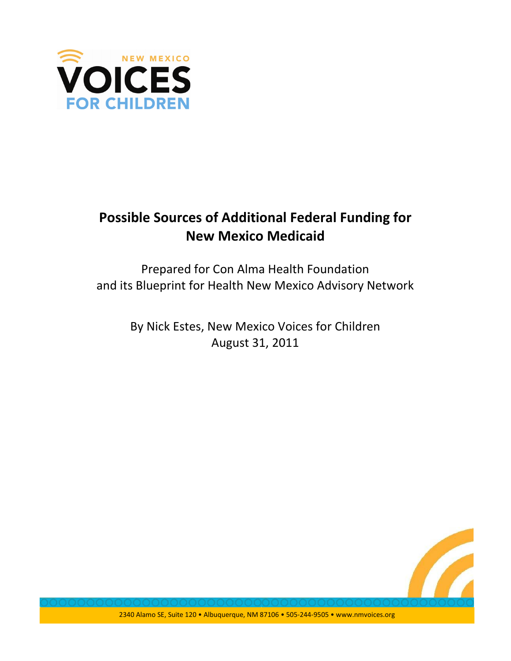

# Possible Sources of Additional Federal Funding for New Mexico Medicaid

Prepared for Con Alma Health Foundation and its Blueprint for Health New Mexico Advisory Network

> By Nick Estes, New Mexico Voices for Children August 31, 2011

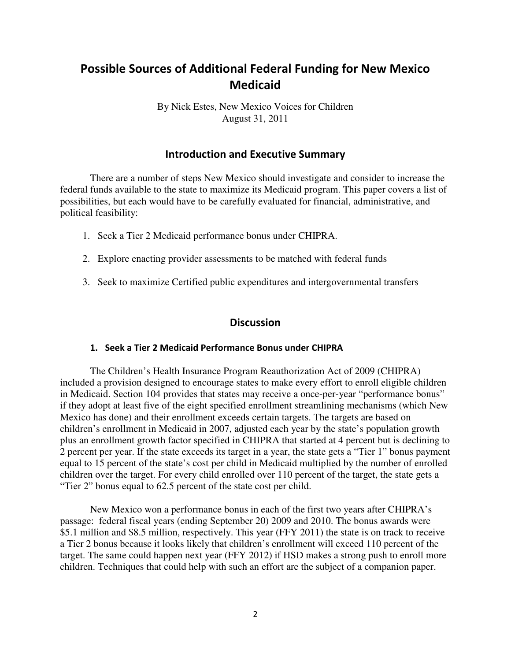# Possible Sources of Additional Federal Funding for New Mexico **Medicaid**

By Nick Estes, New Mexico Voices for Children August 31, 2011

# Introduction and Executive Summary

 There are a number of steps New Mexico should investigate and consider to increase the federal funds available to the state to maximize its Medicaid program. This paper covers a list of possibilities, but each would have to be carefully evaluated for financial, administrative, and political feasibility:

- 1. Seek a Tier 2 Medicaid performance bonus under CHIPRA.
- 2. Explore enacting provider assessments to be matched with federal funds
- 3. Seek to maximize Certified public expenditures and intergovernmental transfers

# **Discussion**

#### 1. Seek a Tier 2 Medicaid Performance Bonus under CHIPRA

The Children's Health Insurance Program Reauthorization Act of 2009 (CHIPRA) included a provision designed to encourage states to make every effort to enroll eligible children in Medicaid. Section 104 provides that states may receive a once-per-year "performance bonus" if they adopt at least five of the eight specified enrollment streamlining mechanisms (which New Mexico has done) and their enrollment exceeds certain targets. The targets are based on children's enrollment in Medicaid in 2007, adjusted each year by the state's population growth plus an enrollment growth factor specified in CHIPRA that started at 4 percent but is declining to 2 percent per year. If the state exceeds its target in a year, the state gets a "Tier 1" bonus payment equal to 15 percent of the state's cost per child in Medicaid multiplied by the number of enrolled children over the target. For every child enrolled over 110 percent of the target, the state gets a "Tier 2" bonus equal to 62.5 percent of the state cost per child.

New Mexico won a performance bonus in each of the first two years after CHIPRA's passage: federal fiscal years (ending September 20) 2009 and 2010. The bonus awards were \$5.1 million and \$8.5 million, respectively. This year (FFY 2011) the state is on track to receive a Tier 2 bonus because it looks likely that children's enrollment will exceed 110 percent of the target. The same could happen next year (FFY 2012) if HSD makes a strong push to enroll more children. Techniques that could help with such an effort are the subject of a companion paper.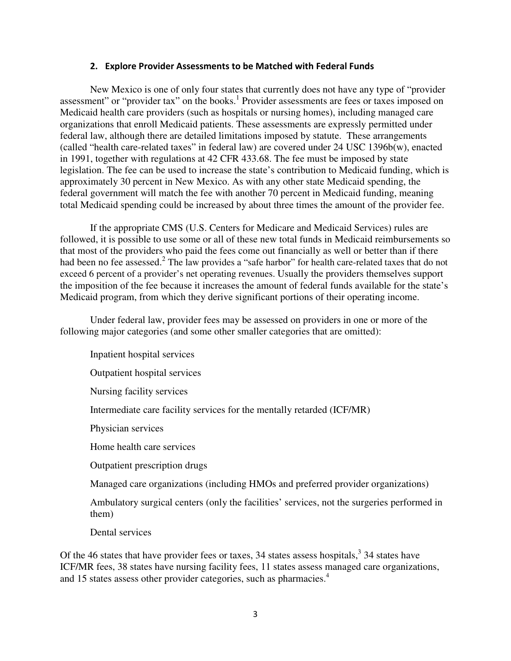### 2. Explore Provider Assessments to be Matched with Federal Funds

 New Mexico is one of only four states that currently does not have any type of "provider assessment" or "provider tax" on the books.<sup>1</sup> Provider assessments are fees or taxes imposed on Medicaid health care providers (such as hospitals or nursing homes), including managed care organizations that enroll Medicaid patients. These assessments are expressly permitted under federal law, although there are detailed limitations imposed by statute. These arrangements (called "health care-related taxes" in federal law) are covered under 24 USC 1396b(w), enacted in 1991, together with regulations at 42 CFR 433.68. The fee must be imposed by state legislation. The fee can be used to increase the state's contribution to Medicaid funding, which is approximately 30 percent in New Mexico. As with any other state Medicaid spending, the federal government will match the fee with another 70 percent in Medicaid funding, meaning total Medicaid spending could be increased by about three times the amount of the provider fee.

If the appropriate CMS (U.S. Centers for Medicare and Medicaid Services) rules are followed, it is possible to use some or all of these new total funds in Medicaid reimbursements so that most of the providers who paid the fees come out financially as well or better than if there had been no fee assessed.<sup>2</sup> The law provides a "safe harbor" for health care-related taxes that do not exceed 6 percent of a provider's net operating revenues. Usually the providers themselves support the imposition of the fee because it increases the amount of federal funds available for the state's Medicaid program, from which they derive significant portions of their operating income.

 Under federal law, provider fees may be assessed on providers in one or more of the following major categories (and some other smaller categories that are omitted):

Inpatient hospital services

Outpatient hospital services

Nursing facility services

Intermediate care facility services for the mentally retarded (ICF/MR)

Physician services

Home health care services

Outpatient prescription drugs

Managed care organizations (including HMOs and preferred provider organizations)

Ambulatory surgical centers (only the facilities' services, not the surgeries performed in them)

Dental services

Of the 46 states that have provider fees or taxes, 34 states assess hospitals,  $3\frac{3}{4}$  states have ICF/MR fees, 38 states have nursing facility fees, 11 states assess managed care organizations, and 15 states assess other provider categories, such as pharmacies.<sup>4</sup>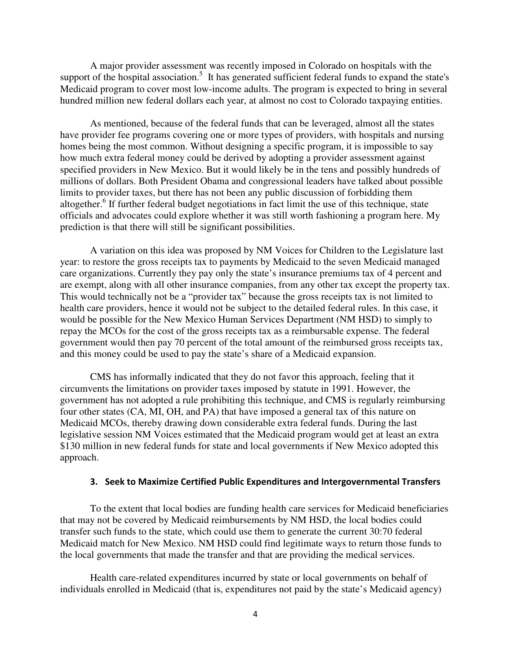A major provider assessment was recently imposed in Colorado on hospitals with the support of the hospital association.<sup>5</sup> It has generated sufficient federal funds to expand the state's Medicaid program to cover most low-income adults. The program is expected to bring in several hundred million new federal dollars each year, at almost no cost to Colorado taxpaying entities.

As mentioned, because of the federal funds that can be leveraged, almost all the states have provider fee programs covering one or more types of providers, with hospitals and nursing homes being the most common. Without designing a specific program, it is impossible to say how much extra federal money could be derived by adopting a provider assessment against specified providers in New Mexico. But it would likely be in the tens and possibly hundreds of millions of dollars. Both President Obama and congressional leaders have talked about possible limits to provider taxes, but there has not been any public discussion of forbidding them altogether.<sup>6</sup> If further federal budget negotiations in fact limit the use of this technique, state officials and advocates could explore whether it was still worth fashioning a program here. My prediction is that there will still be significant possibilities.

 A variation on this idea was proposed by NM Voices for Children to the Legislature last year: to restore the gross receipts tax to payments by Medicaid to the seven Medicaid managed care organizations. Currently they pay only the state's insurance premiums tax of 4 percent and are exempt, along with all other insurance companies, from any other tax except the property tax. This would technically not be a "provider tax" because the gross receipts tax is not limited to health care providers, hence it would not be subject to the detailed federal rules. In this case, it would be possible for the New Mexico Human Services Department (NM HSD) to simply to repay the MCOs for the cost of the gross receipts tax as a reimbursable expense. The federal government would then pay 70 percent of the total amount of the reimbursed gross receipts tax, and this money could be used to pay the state's share of a Medicaid expansion.

 CMS has informally indicated that they do not favor this approach, feeling that it circumvents the limitations on provider taxes imposed by statute in 1991. However, the government has not adopted a rule prohibiting this technique, and CMS is regularly reimbursing four other states (CA, MI, OH, and PA) that have imposed a general tax of this nature on Medicaid MCOs, thereby drawing down considerable extra federal funds. During the last legislative session NM Voices estimated that the Medicaid program would get at least an extra \$130 million in new federal funds for state and local governments if New Mexico adopted this approach.

# 3. Seek to Maximize Certified Public Expenditures and Intergovernmental Transfers

To the extent that local bodies are funding health care services for Medicaid beneficiaries that may not be covered by Medicaid reimbursements by NM HSD, the local bodies could transfer such funds to the state, which could use them to generate the current 30:70 federal Medicaid match for New Mexico. NM HSD could find legitimate ways to return those funds to the local governments that made the transfer and that are providing the medical services.

Health care-related expenditures incurred by state or local governments on behalf of individuals enrolled in Medicaid (that is, expenditures not paid by the state's Medicaid agency)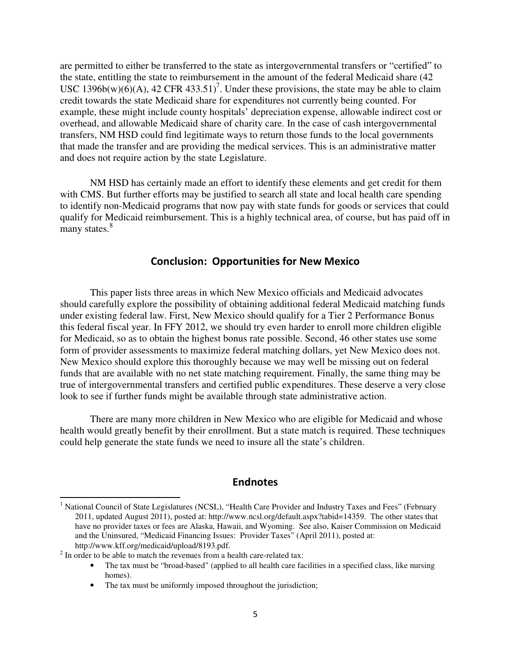are permitted to either be transferred to the state as intergovernmental transfers or "certified" to the state, entitling the state to reimbursement in the amount of the federal Medicaid share (42 USC 1396b(w)( $6$ )(A), 42 CFR 433.51)<sup>7</sup>. Under these provisions, the state may be able to claim credit towards the state Medicaid share for expenditures not currently being counted. For example, these might include county hospitals' depreciation expense, allowable indirect cost or overhead, and allowable Medicaid share of charity care. In the case of cash intergovernmental transfers, NM HSD could find legitimate ways to return those funds to the local governments that made the transfer and are providing the medical services. This is an administrative matter and does not require action by the state Legislature.

NM HSD has certainly made an effort to identify these elements and get credit for them with CMS. But further efforts may be justified to search all state and local health care spending to identify non-Medicaid programs that now pay with state funds for goods or services that could qualify for Medicaid reimbursement. This is a highly technical area, of course, but has paid off in many states.<sup>8</sup>

# Conclusion: Opportunities for New Mexico

 This paper lists three areas in which New Mexico officials and Medicaid advocates should carefully explore the possibility of obtaining additional federal Medicaid matching funds under existing federal law. First, New Mexico should qualify for a Tier 2 Performance Bonus this federal fiscal year. In FFY 2012, we should try even harder to enroll more children eligible for Medicaid, so as to obtain the highest bonus rate possible. Second, 46 other states use some form of provider assessments to maximize federal matching dollars, yet New Mexico does not. New Mexico should explore this thoroughly because we may well be missing out on federal funds that are available with no net state matching requirement. Finally, the same thing may be true of intergovernmental transfers and certified public expenditures. These deserve a very close look to see if further funds might be available through state administrative action.

There are many more children in New Mexico who are eligible for Medicaid and whose health would greatly benefit by their enrollment. But a state match is required. These techniques could help generate the state funds we need to insure all the state's children.

# Endnotes

 $\overline{a}$ 

<sup>&</sup>lt;sup>1</sup> National Council of State Legislatures (NCSL), "Health Care Provider and Industry Taxes and Fees" (February 2011, updated August 2011), posted at: http://www.ncsl.org/default.aspx?tabid=14359. The other states that have no provider taxes or fees are Alaska, Hawaii, and Wyoming. See also, Kaiser Commission on Medicaid and the Uninsured, "Medicaid Financing Issues: Provider Taxes" (April 2011), posted at: http://www.kff.org/medicaid/upload/8193.pdf.

 $2^{2}$  In order to be able to match the revenues from a health care-related tax:

<sup>•</sup> The tax must be "broad-based" (applied to all health care facilities in a specified class, like nursing homes).

<sup>•</sup> The tax must be uniformly imposed throughout the jurisdiction;